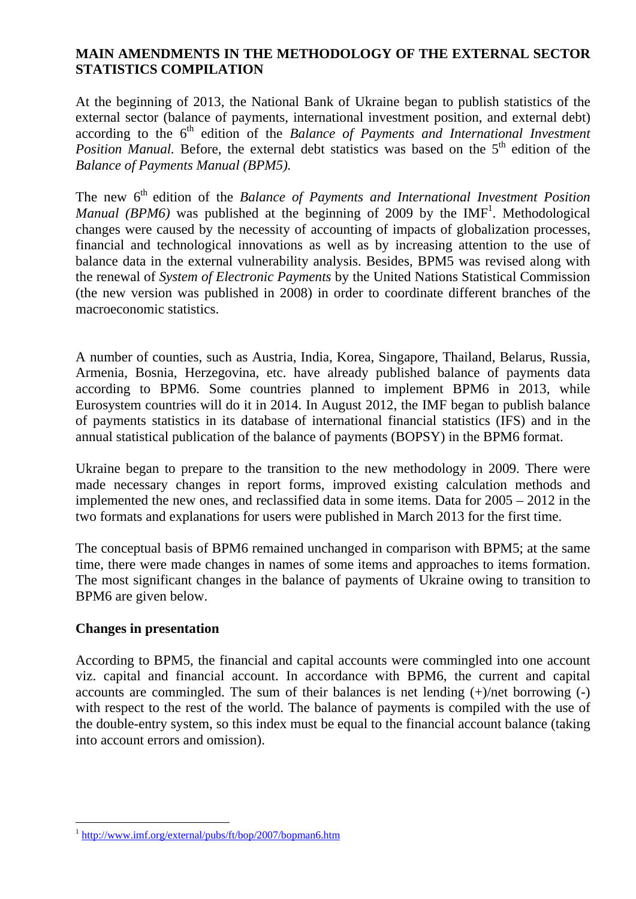## **MAIN AMENDMENTS IN THE METHODOLOGY OF THE EXTERNAL SECTOR STATISTICS COMPILATION**

At the beginning of 2013, the National Bank of Ukraine began to publish statistics of the external sector (balance of payments, international investment position, and external debt) according to the 6<sup>th</sup> edition of the *Balance of Payments and International Investment Position Manual.* Before, the external debt statistics was based on the 5<sup>th</sup> edition of the *Balance of Payments Manual (BPM5).*

The new 6<sup>th</sup> edition of the *Balance of Payments and International Investment Position Manual (BPM6)* was published at the beginning of 2009 by the IMF<sup>1</sup>. Methodological changes were caused by the necessity of accounting of impacts of globalization processes, financial and technological innovations as well as by increasing attention to the use of balance data in the external vulnerability analysis. Besides, BPM5 was revised along with the renewal of *System of Electronic Payments* by the United Nations Statistical Commission (the new version was published in 2008) in order to coordinate different branches of the macroeconomic statistics.

A number of counties, such as Austria, India, Korea, Singapore, Thailand, Belarus, Russia, Armenia, Bosnia, Herzegovina, etc. have already published balance of payments data according to BPM6. Some countries planned to implement BPM6 in 2013, while Eurosystem countries will do it in 2014. In August 2012, the IMF began to publish balance of payments statistics in its database of international financial statistics (IFS) and in the annual statistical publication of the balance of payments (BOPSY) in the BPM6 format.

Ukraine began to prepare to the transition to the new methodology in 2009. There were made necessary changes in report forms, improved existing calculation methods and implemented the new ones, and reclassified data in some items. Data for 2005 – 2012 in the two formats and explanations for users were published in March 2013 for the first time.

The conceptual basis of BPM6 remained unchanged in comparison with BPM5; at the same time, there were made changes in names of some items and approaches to items formation. The most significant changes in the balance of payments of Ukraine owing to transition to BPM6 are given below.

## **Changes in presentation**

 $\overline{a}$ 

According to BPM5, the financial and capital accounts were commingled into one account viz. capital and financial account. In accordance with BPM6, the current and capital accounts are commingled. The sum of their balances is net lending  $(+)/$ net borrowing  $(-)$ with respect to the rest of the world. The balance of payments is compiled with the use of the double-entry system, so this index must be equal to the financial account balance (taking into account errors and omission).

<sup>1</sup> http://www.imf.org/external/pubs/ft/bop/2007/bopman6.htm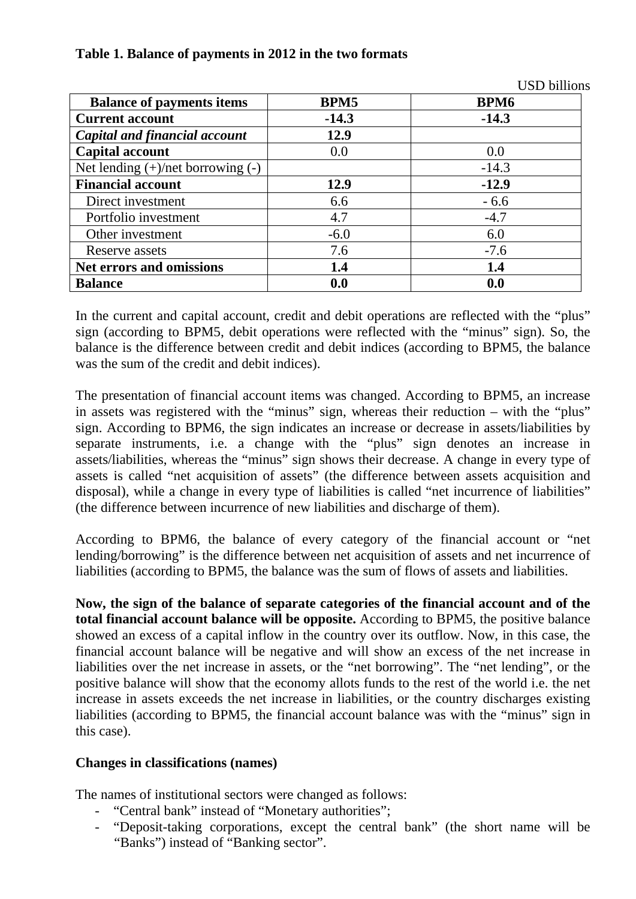|                                        |         | <b>USD</b> billions |
|----------------------------------------|---------|---------------------|
| <b>Balance of payments items</b>       | BPM5    | <b>BPM6</b>         |
| <b>Current account</b>                 | $-14.3$ | $-14.3$             |
| <b>Capital and financial account</b>   | 12.9    |                     |
| <b>Capital account</b>                 | 0.0     | 0.0                 |
| Net lending $(+)/$ net borrowing $(-)$ |         | $-14.3$             |
| <b>Financial account</b>               | 12.9    | $-12.9$             |
| Direct investment                      | 6.6     | $-6.6$              |
| Portfolio investment                   | 4.7     | $-4.7$              |
| Other investment                       | $-6.0$  | 6.0                 |
| Reserve assets                         | 7.6     | $-7.6$              |
| <b>Net errors and omissions</b>        | 1.4     | 1.4                 |
| <b>Balance</b>                         | 0.0     | 0.0                 |

# **Table 1. Balance of payments in 2012 in the two formats**

In the current and capital account, credit and debit operations are reflected with the "plus" sign (according to BPM5, debit operations were reflected with the "minus" sign). So, the balance is the difference between credit and debit indices (according to BPM5, the balance was the sum of the credit and debit indices).

The presentation of financial account items was changed. According to BPM5, an increase in assets was registered with the "minus" sign, whereas their reduction – with the "plus" sign. According to BPM6, the sign indicates an increase or decrease in assets/liabilities by separate instruments, i.e. a change with the "plus" sign denotes an increase in assets/liabilities, whereas the "minus" sign shows their decrease. A change in every type of assets is called "net acquisition of assets" (the difference between assets acquisition and disposal), while a change in every type of liabilities is called "net incurrence of liabilities" (the difference between incurrence of new liabilities and discharge of them).

According to BPM6, the balance of every category of the financial account or "net lending/borrowing" is the difference between net acquisition of assets and net incurrence of liabilities (according to BPM5, the balance was the sum of flows of assets and liabilities.

**Now, the sign of the balance of separate categories of the financial account and of the total financial account balance will be opposite.** According to BPM5, the positive balance showed an excess of a capital inflow in the country over its outflow. Now, in this case, the financial account balance will be negative and will show an excess of the net increase in liabilities over the net increase in assets, or the "net borrowing". The "net lending", or the positive balance will show that the economy allots funds to the rest of the world i.e. the net increase in assets exceeds the net increase in liabilities, or the country discharges existing liabilities (according to BPM5, the financial account balance was with the "minus" sign in this case).

## **Changes in classifications (names)**

The names of institutional sectors were changed as follows:

- "Central bank" instead of "Monetary authorities";
- "Deposit-taking corporations, except the central bank" (the short name will be "Banks") instead of "Banking sector".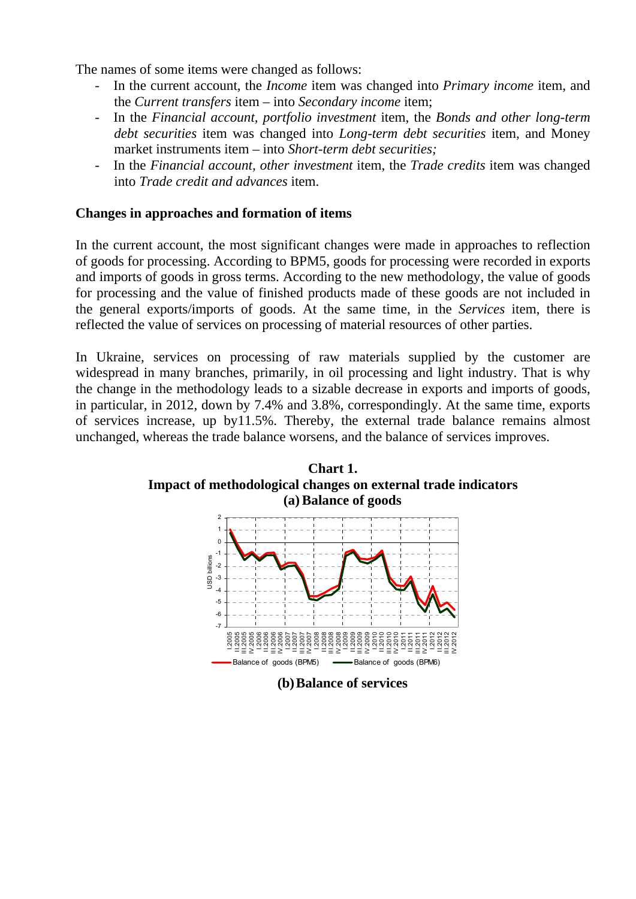The names of some items were changed as follows:

- In the current account, the *Income* item was changed into *Primary income* item, and the *Current transfers* item – into *Secondary income* item;
- In the *Financial account, portfolio investment* item, the *Bonds and other long-term debt securities* item was changed into *Long-term debt securities* item, and Money market instruments item – into *Short-term debt securities;*
- In the *Financial account, other investment* item, the *Trade credits* item was changed into *Trade credit and advances* item.

#### **Changes in approaches and formation of items**

In the current account, the most significant changes were made in approaches to reflection of goods for processing. According to BPM5, goods for processing were recorded in exports and imports of goods in gross terms. According to the new methodology, the value of goods for processing and the value of finished products made of these goods are not included in the general exports/imports of goods. At the same time, in the *Services* item, there is reflected the value of services on processing of material resources of other parties.

In Ukraine, services on processing of raw materials supplied by the customer are widespread in many branches, primarily, in oil processing and light industry. That is why the change in the methodology leads to a sizable decrease in exports and imports of goods, in particular, in 2012, down by 7.4% and 3.8%, correspondingly. At the same time, exports of services increase, up by11.5%. Thereby, the external trade balance remains almost unchanged, whereas the trade balance worsens, and the balance of services improves.



**(b)Balance of services**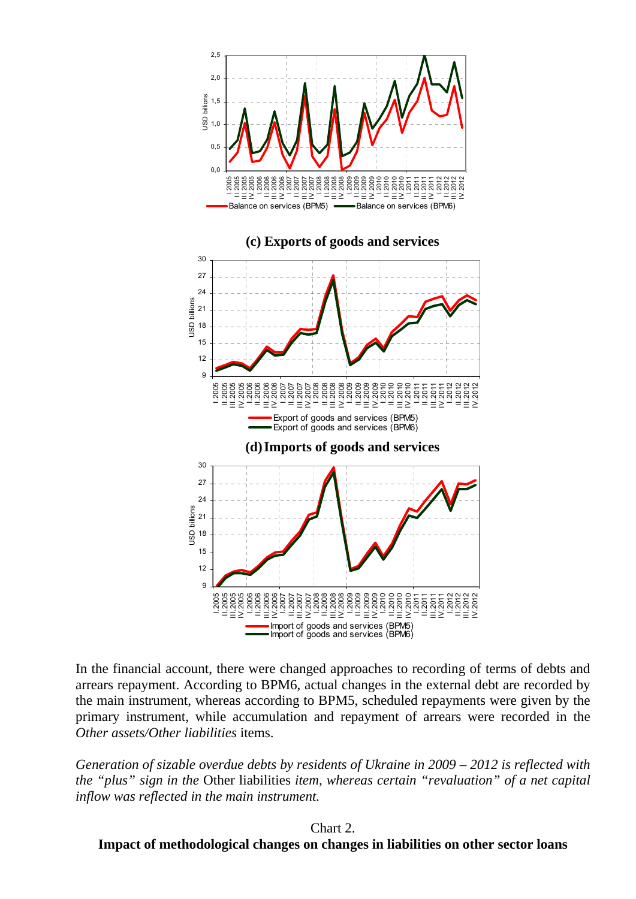

In the financial account, there were changed approaches to recording of terms of debts and arrears repayment. According to BPM6, actual changes in the external debt are recorded by the main instrument, whereas according to BPM5, scheduled repayments were given by the primary instrument, while accumulation and repayment of arrears were recorded in the *Other assets/Other liabilities* items.

*Generation of sizable overdue debts by residents of Ukraine in 2009 – 2012 is reflected with the "plus" sign in the* Other liabilities *item, whereas certain "revaluation" of a net capital inflow was reflected in the main instrument.* 

#### Chart 2.

**Impact of methodological changes on changes in liabilities on other sector loans**